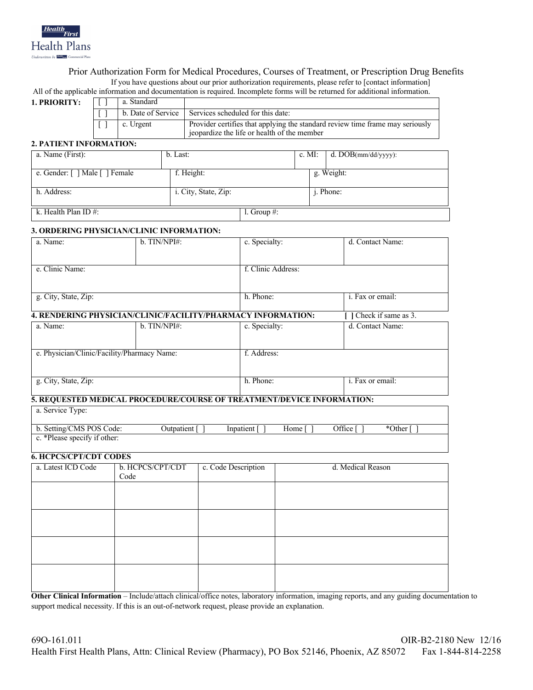

# Prior Authorization Form for Medical Procedures, Courses of Treatment, or Prescription Drug Benefits If you have questions about our prior authorization requirements, please refer to [contact information]

| All of the applicable information and documentation is required. Incomplete forms will be returned for additional information. |  |
|--------------------------------------------------------------------------------------------------------------------------------|--|
|--------------------------------------------------------------------------------------------------------------------------------|--|

| 1. PRIORITY: |  | a. Standard        |                                                                               |
|--------------|--|--------------------|-------------------------------------------------------------------------------|
|              |  | b. Date of Service | Services scheduled for this date:                                             |
| c. Urgent    |  |                    | Provider certifies that applying the standard review time frame may seriously |
|              |  |                    | ieopardize the life or health of the member                                   |

### **2. PATIENT INFORMATION:**

| a. Name (First):               | b. Last:             |                 |  | c. MI: $d. DOB(mm/dd/yyyy)$ : |
|--------------------------------|----------------------|-----------------|--|-------------------------------|
| e. Gender: [ ] Male [ ] Female | f. Height:           |                 |  | g. Weight:                    |
| h. Address:                    | i. City, State, Zip: |                 |  | <i>i</i> . Phone:             |
| k. Health Plan ID $#$ :        |                      | 1. Group $\#$ : |  |                               |

#### **3. ORDERING PHYSICIAN/CLINIC INFORMATION:**

| a. Name:             | $b.$ TIN/NPI#: | c. Specialty:<br>d. Contact Name: |                          |
|----------------------|----------------|-----------------------------------|--------------------------|
|                      |                |                                   |                          |
|                      |                |                                   |                          |
| e. Clinic Name:      |                | f. Clinic Address:                |                          |
|                      |                |                                   |                          |
|                      |                |                                   |                          |
| g. City, State, Zip: |                | h. Phone:                         | <i>i</i> . Fax or email: |
|                      |                |                                   |                          |

# **4. RENDERING PHYSICIAN/CLINIC/FACILITY/PHARMACY INFORMATION: [ ]** Check if same as 3.

| a. Name:                                    | $b.$ TIN/NPI#: | c. Specialty: | d. Contact Name:         |  |  |
|---------------------------------------------|----------------|---------------|--------------------------|--|--|
|                                             |                |               |                          |  |  |
| e. Physician/Clinic/Facility/Pharmacy Name: |                | f. Address:   |                          |  |  |
|                                             |                |               |                          |  |  |
|                                             |                |               |                          |  |  |
| g. City, State, Zip:                        |                | h. Phone:     | <i>i</i> . Fax or email: |  |  |
|                                             |                |               |                          |  |  |

# **5. REQUESTED MEDICAL PROCEDURE/COURSE OF TREATMENT/DEVICE INFORMATION:**

| a. Service Type: |  |
|------------------|--|
|                  |  |

| b. Setting/CMS POS Code:     | Jutpatient | Inpatient | Home | )ffice ' | Other |
|------------------------------|------------|-----------|------|----------|-------|
| c. *Please specify if other: |            |           |      |          |       |

## **6. HCPCS/CPT/CDT CODES**

| a. Latest ICD Code | b. HCPCS/CPT/CDT<br>Code | c. Code Description | d. Medical Reason |
|--------------------|--------------------------|---------------------|-------------------|
|                    |                          |                     |                   |
|                    |                          |                     |                   |
|                    |                          |                     |                   |
|                    |                          |                     |                   |
|                    |                          |                     |                   |
|                    |                          |                     |                   |

**Other Clinical Information** – Include/attach clinical/office notes, laboratory information, imaging reports, and any guiding documentation to support medical necessity. If this is an out-of-network request, please provide an explanation.